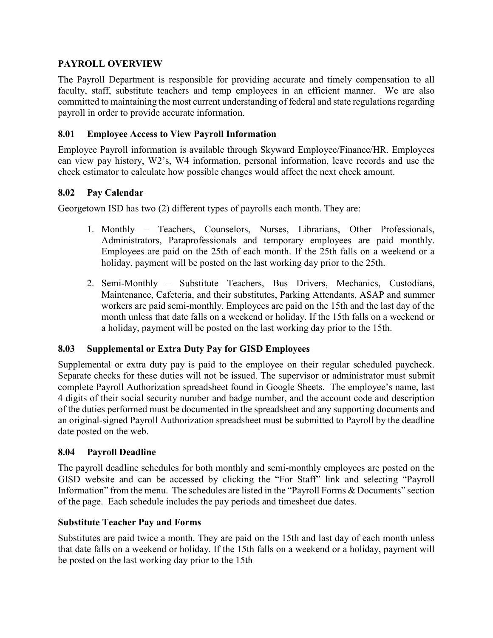# **PAYROLL OVERVIEW**

The Payroll Department is responsible for providing accurate and timely compensation to all faculty, staff, substitute teachers and temp employees in an efficient manner. We are also committed to maintaining the most current understanding of federal and state regulations regarding payroll in order to provide accurate information.

# **8.01 Employee Access to View Payroll Information**

Employee Payroll information is available through Skyward Employee/Finance/HR. Employees can view pay history, W2's, W4 information, personal information, leave records and use the check estimator to calculate how possible changes would affect the next check amount.

### **8.02 Pay Calendar**

Georgetown ISD has two (2) different types of payrolls each month. They are:

- 1. Monthly Teachers, Counselors, Nurses, Librarians, Other Professionals, Administrators, Paraprofessionals and temporary employees are paid monthly. Employees are paid on the 25th of each month. If the 25th falls on a weekend or a holiday, payment will be posted on the last working day prior to the 25th.
- 2. Semi-Monthly Substitute Teachers, Bus Drivers, Mechanics, Custodians, Maintenance, Cafeteria, and their substitutes, Parking Attendants, ASAP and summer workers are paid semi-monthly. Employees are paid on the 15th and the last day of the month unless that date falls on a weekend or holiday. If the 15th falls on a weekend or a holiday, payment will be posted on the last working day prior to the 15th.

### **8.03 Supplemental or Extra Duty Pay for GISD Employees**

Supplemental or extra duty pay is paid to the employee on their regular scheduled paycheck. Separate checks for these duties will not be issued. The supervisor or administrator must submit complete Payroll Authorization spreadsheet found in Google Sheets. The employee's name, last 4 digits of their social security number and badge number, and the account code and description of the duties performed must be documented in the spreadsheet and any supporting documents and an original-signed Payroll Authorization spreadsheet must be submitted to Payroll by the deadline date posted on the web.

### **8.04 Payroll Deadline**

The payroll deadline schedules for both monthly and semi-monthly employees are posted on the GISD website and can be accessed by clicking the "For Staff" link and selecting "Payroll Information" from the menu. The schedules are listed in the "Payroll Forms & Documents" section of the page. Each schedule includes the pay periods and timesheet due dates.

### **Substitute Teacher Pay and Forms**

Substitutes are paid twice a month. They are paid on the 15th and last day of each month unless that date falls on a weekend or holiday. If the 15th falls on a weekend or a holiday, payment will be posted on the last working day prior to the 15th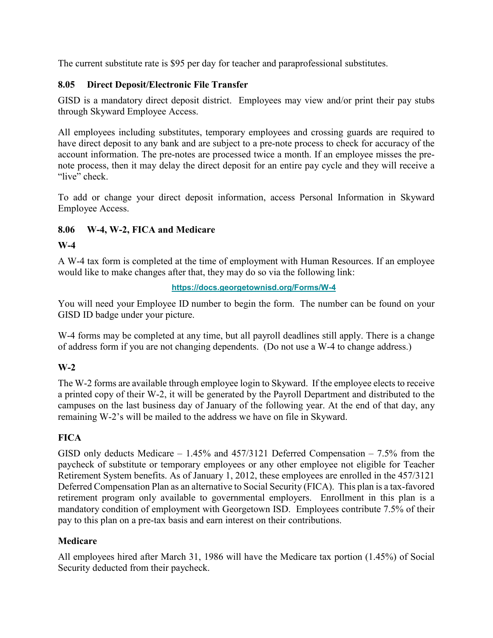The current substitute rate is \$95 per day for teacher and paraprofessional substitutes.

# **8.05 Direct Deposit/Electronic File Transfer**

GISD is a mandatory direct deposit district. Employees may view and/or print their pay stubs through Skyward Employee Access.

All employees including substitutes, temporary employees and crossing guards are required to have direct deposit to any bank and are subject to a pre-note process to check for accuracy of the account information. The pre-notes are processed twice a month. If an employee misses the prenote process, then it may delay the direct deposit for an entire pay cycle and they will receive a "live" check.

To add or change your direct deposit information, access Personal Information in Skyward Employee Access.

# **8.06 W-4, W-2, FICA and Medicare**

# **W-4**

A W-4 tax form is completed at the time of employment with Human Resources. If an employee would like to make changes after that, they may do so via the following link:

#### **<https://docs.georgetownisd.org/Forms/W-4>**

You will need your Employee ID number to begin the form. The number can be found on your GISD ID badge under your picture.

W-4 forms may be completed at any time, but all payroll deadlines still apply. There is a change of address form if you are not changing dependents. (Do not use a W-4 to change address.)

# **W-2**

The W-2 forms are available through employee login to Skyward. If the employee elects to receive a printed copy of their W-2, it will be generated by the Payroll Department and distributed to the campuses on the last business day of January of the following year. At the end of that day, any remaining W-2's will be mailed to the address we have on file in Skyward.

# **FICA**

GISD only deducts Medicare  $-1.45\%$  and  $457/3121$  Deferred Compensation  $-7.5\%$  from the paycheck of substitute or temporary employees or any other employee not eligible for Teacher Retirement System benefits. As of January 1, 2012, these employees are enrolled in the 457/3121 Deferred Compensation Plan as an alternative to Social Security (FICA). This plan is a tax-favored retirement program only available to governmental employers. Enrollment in this plan is a mandatory condition of employment with Georgetown ISD. Employees contribute 7.5% of their pay to this plan on a pre-tax basis and earn interest on their contributions.

### **Medicare**

All employees hired after March 31, 1986 will have the Medicare tax portion (1.45%) of Social Security deducted from their paycheck.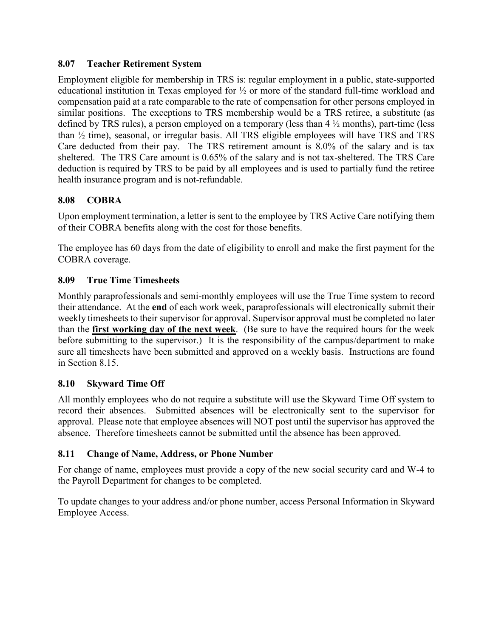### **8.07 Teacher Retirement System**

Employment eligible for membership in TRS is: regular employment in a public, state-supported educational institution in Texas employed for ½ or more of the standard full-time workload and compensation paid at a rate comparable to the rate of compensation for other persons employed in similar positions. The exceptions to TRS membership would be a TRS retiree, a substitute (as defined by TRS rules), a person employed on a temporary (less than 4 ½ months), part-time (less than ½ time), seasonal, or irregular basis. All TRS eligible employees will have TRS and TRS Care deducted from their pay. The TRS retirement amount is 8.0% of the salary and is tax sheltered. The TRS Care amount is 0.65% of the salary and is not tax-sheltered. The TRS Care deduction is required by TRS to be paid by all employees and is used to partially fund the retiree health insurance program and is not-refundable.

# **8.08 COBRA**

Upon employment termination, a letter is sent to the employee by TRS Active Care notifying them of their COBRA benefits along with the cost for those benefits.

The employee has 60 days from the date of eligibility to enroll and make the first payment for the COBRA coverage.

# **8.09 True Time Timesheets**

Monthly paraprofessionals and semi-monthly employees will use the True Time system to record their attendance. At the **end** of each work week, paraprofessionals will electronically submit their weekly timesheets to their supervisor for approval. Supervisor approval must be completed no later than the **first working day of the next week**. (Be sure to have the required hours for the week before submitting to the supervisor.) It is the responsibility of the campus/department to make sure all timesheets have been submitted and approved on a weekly basis. Instructions are found in Section 8.15.

### **8.10 Skyward Time Off**

All monthly employees who do not require a substitute will use the Skyward Time Off system to record their absences. Submitted absences will be electronically sent to the supervisor for approval. Please note that employee absences will NOT post until the supervisor has approved the absence. Therefore timesheets cannot be submitted until the absence has been approved.

### **8.11 Change of Name, Address, or Phone Number**

For change of name, employees must provide a copy of the new social security card and W-4 to the Payroll Department for changes to be completed.

To update changes to your address and/or phone number, access Personal Information in Skyward Employee Access.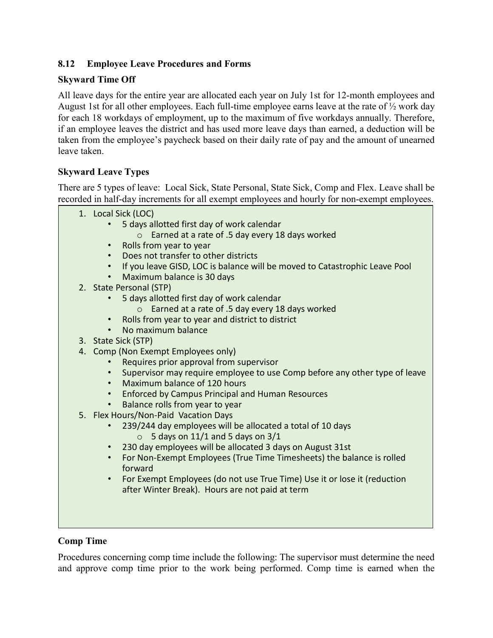# **8.12 Employee Leave Procedures and Forms**

# **Skyward Time Off**

All leave days for the entire year are allocated each year on July 1st for 12-month employees and August 1st for all other employees. Each full-time employee earns leave at the rate of ½ work day for each 18 workdays of employment, up to the maximum of five workdays annually. Therefore, if an employee leaves the district and has used more leave days than earned, a deduction will be taken from the employee's paycheck based on their daily rate of pay and the amount of unearned leave taken.

# **Skyward Leave Types**

There are 5 types of leave: Local Sick, State Personal, State Sick, Comp and Flex. Leave shall be recorded in half-day increments for all exempt employees and hourly for non-exempt employees.

- 1. Local Sick (LOC)
	- 5 days allotted first day of work calendar
		- o Earned at a rate of .5 day every 18 days worked
	- Rolls from year to year
	- Does not transfer to other districts
	- If you leave GISD, LOC is balance will be moved to Catastrophic Leave Pool
	- Maximum balance is 30 days
- 2. State Personal (STP)
	- 5 days allotted first day of work calendar
		- o Earned at a rate of .5 day every 18 days worked
	- Rolls from year to year and district to district
	- No maximum balance
- 3. State Sick (STP)
- 4. Comp (Non Exempt Employees only)
	- Requires prior approval from supervisor
	- Supervisor may require employee to use Comp before any other type of leave
	- Maximum balance of 120 hours
	- Enforced by Campus Principal and Human Resources
	- Balance rolls from year to year
- 5. Flex Hours/Non-Paid Vacation Days
	- 239/244 day employees will be allocated a total of 10 days  $\circ$  5 days on 11/1 and 5 days on 3/1
	- 230 day employees will be allocated 3 days on August 31st
	- For Non-Exempt Employees (True Time Timesheets) the balance is rolled forward
	- For Exempt Employees (do not use True Time) Use it or lose it (reduction after Winter Break). Hours are not paid at term

### **Comp Time**

Procedures concerning comp time include the following: The supervisor must determine the need and approve comp time prior to the work being performed. Comp time is earned when the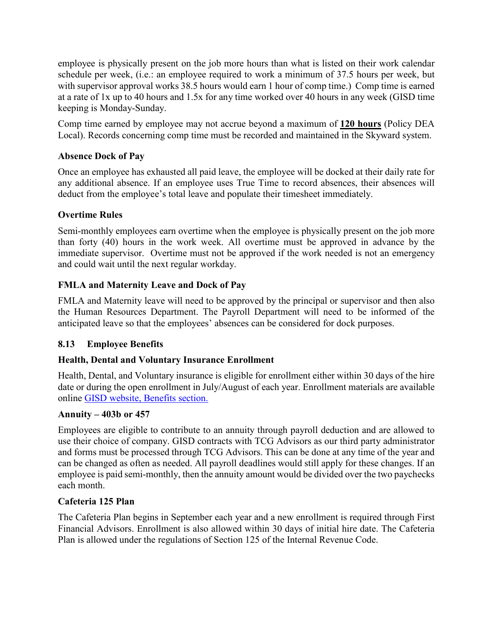employee is physically present on the job more hours than what is listed on their work calendar schedule per week, (i.e.: an employee required to work a minimum of 37.5 hours per week, but with supervisor approval works 38.5 hours would earn 1 hour of comp time.) Comp time is earned at a rate of 1x up to 40 hours and 1.5x for any time worked over 40 hours in any week (GISD time keeping is Monday-Sunday.

Comp time earned by employee may not accrue beyond a maximum of **120 hours** (Policy DEA Local). Records concerning comp time must be recorded and maintained in the Skyward system.

# **Absence Dock of Pay**

Once an employee has exhausted all paid leave, the employee will be docked at their daily rate for any additional absence. If an employee uses True Time to record absences, their absences will deduct from the employee's total leave and populate their timesheet immediately.

# **Overtime Rules**

Semi-monthly employees earn overtime when the employee is physically present on the job more than forty (40) hours in the work week. All overtime must be approved in advance by the immediate supervisor. Overtime must not be approved if the work needed is not an emergency and could wait until the next regular workday.

# **FMLA and Maternity Leave and Dock of Pay**

FMLA and Maternity leave will need to be approved by the principal or supervisor and then also the Human Resources Department. The Payroll Department will need to be informed of the anticipated leave so that the employees' absences can be considered for dock purposes.

### **8.13 Employee Benefits**

### **Health, Dental and Voluntary Insurance Enrollment**

Health, Dental, and Voluntary insurance is eligible for enrollment either within 30 days of the hire date or during the open enrollment in July/August of each year. Enrollment materials are available online [GISD website, Benefits section.](https://www.georgetownisd.org/Page/20336)

### **Annuity – 403b or 457**

Employees are eligible to contribute to an annuity through payroll deduction and are allowed to use their choice of company. GISD contracts with TCG Advisors as our third party administrator and forms must be processed through TCG Advisors. This can be done at any time of the year and can be changed as often as needed. All payroll deadlines would still apply for these changes. If an employee is paid semi-monthly, then the annuity amount would be divided over the two paychecks each month.

### **Cafeteria 125 Plan**

The Cafeteria Plan begins in September each year and a new enrollment is required through First Financial Advisors. Enrollment is also allowed within 30 days of initial hire date. The Cafeteria Plan is allowed under the regulations of Section 125 of the Internal Revenue Code.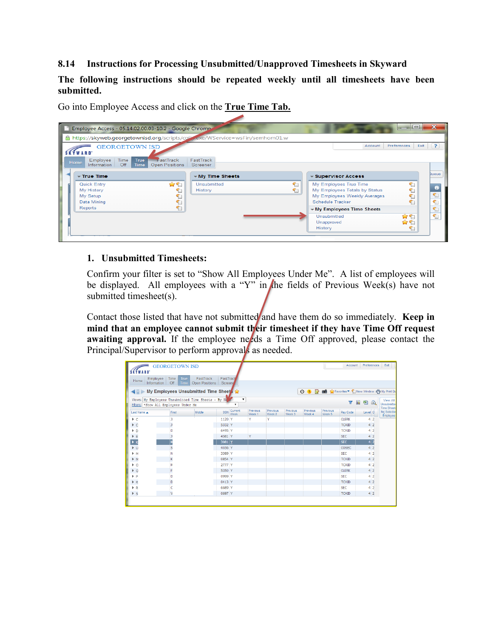#### **8.14 Instructions for Processing Unsubmitted/Unapproved Timesheets in Skyward**

**The following instructions should be repeated weekly until all timesheets have been submitted.**

Go into Employee Access and click on the **True Time Tab.**

|   |                                                      |                       | Employee Access - 05.14.02.00.03-10.2 - Google Chrome                        |                        |  |        |  |                                      |                                                                                         | اکار دی     |              | X            |
|---|------------------------------------------------------|-----------------------|------------------------------------------------------------------------------|------------------------|--|--------|--|--------------------------------------|-----------------------------------------------------------------------------------------|-------------|--------------|--------------|
| ≏ |                                                      |                       | https://skyweb.georgetownisd.org/scripts/calledexe/WService=wsFin/semhom01.w |                        |  |        |  |                                      |                                                                                         |             |              |              |
|   | <b>SKYWARD</b>                                       | <b>GEORGETOWN ISD</b> |                                                                              |                        |  |        |  |                                      | Account                                                                                 | Preferences | Exit         | ?            |
|   | Employee<br><b>Home</b><br>Information               | <b>Time</b><br>Off    | <b>True</b><br><b>FastTrack</b><br><b>Open Positions</b><br><b>Time</b>      | FastTrack<br>Screener  |  |        |  |                                      |                                                                                         |             |              |              |
|   | $\overline{\phantom{a}}$ True Time                   |                       | $\blacktriangleright$ My Time Sheets                                         |                        |  |        |  | $\ast$ Supervisor Access             |                                                                                         |             | <b>Queue</b> |              |
|   | Quick Entry<br>My History<br>My Setup<br>Data Mining |                       | 合作                                                                           | Unsubmitted<br>History |  | 们<br>们 |  | Schedule Tracker                     | My Employees True Time<br>My Employees Totals by Status<br>My Employees Weekly Averages |             | ۹Ò           | r,<br>t<br>€ |
|   | Reports                                              |                       |                                                                              |                        |  |        |  | Unsubmitted<br>Unapproved<br>History | ▼ My Employees Time Sheets                                                              | ✿ና          |              | 1<br>٠       |

#### **1. Unsubmitted Timesheets:**

Confirm your filter is set to "Show All Employees Under Me". A list of employees will be displayed. All employees with a "Y" in the fields of Previous Week(s) have not submitted timesheet(s).

Contact those listed that have not submitted and have them do so immediately. Keep in **mind that an employee cannot submit their timesheet if they have Time Off request awaiting approval.** If the employee needs a Time Off approved, please contact the Principal/Supervisor to perform approval<sub>s</sub> as needed.

| Employee<br>Home<br>Information                                                             | Time<br><b>True</b><br>Off<br><b>Time</b><br>My Employees Unsubmitted Time Sheet: | FastTrack<br><b>Open Positions</b> | FastTracl<br>Screene |                        |                    |                    |                    | ⊙ 1 7 12 A Favorites ▼ New Window + My Print Qu |                    |                         |                 |                                                               |
|---------------------------------------------------------------------------------------------|-----------------------------------------------------------------------------------|------------------------------------|----------------------|------------------------|--------------------|--------------------|--------------------|-------------------------------------------------|--------------------|-------------------------|-----------------|---------------------------------------------------------------|
| Views: My Employees Unsubmitted Time Sheets - By Na<br>Fiters: *Show All Employees Under Me |                                                                                   |                                    |                      | $\mathbf{v}$           |                    |                    |                    |                                                 |                    | $\overline{\mathbf{Y}}$ | 剛<br><b>III</b> | View All<br>$\mathbb{Z}$<br>Unsubmitted<br><b>Time Sheets</b> |
| Last Name A                                                                                 | First                                                                             | <b>Middle</b>                      | SSN                  | Current<br><b>Week</b> | Previous<br>Week 1 | Previous<br>Week 2 | Previous<br>Week 3 | Previous<br>Week 4                              | Previous<br>Week 5 | Pay Code                | Level O         | for Selected<br>Employee                                      |
| P <sub>0</sub>                                                                              | л                                                                                 |                                    | 1120 Y               |                        | Y                  | Y                  |                    |                                                 |                    | <b>CLERK</b>            | $4\overline{2}$ |                                                               |
| $\triangleright$ C                                                                          | л                                                                                 |                                    | 5332 Y               |                        |                    |                    |                    |                                                 |                    | <b>TCAID</b>            | 4 <sup>2</sup>  |                                                               |
| P D                                                                                         | D                                                                                 |                                    | 6495 Y               |                        |                    |                    |                    |                                                 |                    | <b>TCAID</b>            | 4 <sup>2</sup>  |                                                               |
| ÞΕ                                                                                          |                                                                                   |                                    | 4581 Y               |                        | Y                  |                    |                    |                                                 |                    | <b>SEC</b>              | 4 <sup>2</sup>  |                                                               |
| $\triangleright$ K                                                                          |                                                                                   |                                    | $3081$ Y             |                        |                    |                    |                    |                                                 |                    | <b>SEC</b>              | 4 2             |                                                               |
| $\triangleright$ LI                                                                         | S                                                                                 |                                    | 4036 Y               |                        |                    |                    |                    |                                                 |                    | COSEC                   | 4 <sup>2</sup>  |                                                               |
| M                                                                                           | N                                                                                 |                                    | 3389 Y               |                        |                    |                    |                    |                                                 |                    | <b>SEC</b>              | 4 <sup>2</sup>  |                                                               |
| $P$ M                                                                                       | К                                                                                 |                                    | 0854 Y               |                        |                    |                    |                    |                                                 |                    | <b>TCAID</b>            | $4\overline{2}$ |                                                               |
| P <sub>0</sub>                                                                              |                                                                                   |                                    | 2777 Y               |                        |                    |                    |                    |                                                 |                    | <b>TCAID</b>            | $4\overline{2}$ |                                                               |
| $\triangleright$ 0                                                                          | F                                                                                 |                                    | 5350 Y               |                        |                    |                    |                    |                                                 |                    | <b>CLERK</b>            | 4 <sup>2</sup>  |                                                               |
| $\blacktriangleright$ P                                                                     | n                                                                                 |                                    | 0999 Y               |                        |                    |                    |                    |                                                 |                    | SEC.                    | 4 <sup>2</sup>  |                                                               |
| R                                                                                           | D                                                                                 |                                    | $0413$ Y             |                        |                    |                    |                    |                                                 |                    | <b>TCAID</b>            | 42              |                                                               |
| R                                                                                           |                                                                                   |                                    | 6689 Y               |                        |                    |                    |                    |                                                 |                    | <b>SEC</b>              | 4 <sup>2</sup>  |                                                               |
| $\triangleright$ S                                                                          | $\mathbf v$                                                                       |                                    | 0697 Y               |                        |                    |                    |                    |                                                 |                    | <b>TCAID</b>            | 4 <sup>2</sup>  |                                                               |